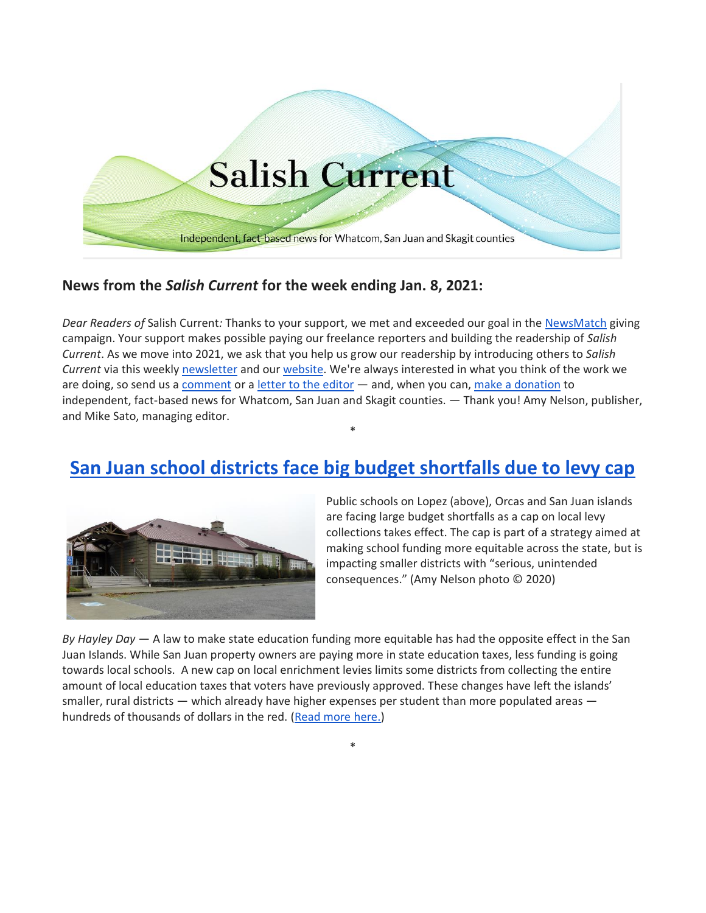

## **News from the** *Salish Current* **for the week ending Jan. 8, 2021:**

*Dear Readers of* Salish Current*:* Thanks to your support, we met and exceeded our goal in the [NewsMatch](https://salish-current.org/donate) giving campaign. Your support makes possible paying our freelance reporters and building the readership of *Salish Current*. As we move into 2021, we ask that you help us grow our readership by introducing others to *Salish Current* via this weekly [newsletter](https://salish-current.org/newsletters/) and our [website.](https://salish-current.org/) We're always interested in what you think of the work we are doing, so send us a [comment](https://salish-current.org/contact/) or a [letter to the editor](https://salish-current.org/letters-to-the-editor/) — and, when you can, [make a donation](https://salish-current.org/donate) to independent, fact-based news for Whatcom, San Juan and Skagit counties. — Thank you! Amy Nelson, publisher, and Mike Sato, managing editor.

## **[San Juan school districts face big budget shortfalls due to levy cap](https://salish-current.org/2021/01/07/san-juan-school-districts-face-big-budget-shortfalls-due-to-levy-cap/)**

\*



Public schools on Lopez (above), Orcas and San Juan islands are facing large budget shortfalls as a cap on local levy collections takes effect. The cap is part of a strategy aimed at making school funding more equitable across the state, but is impacting smaller districts with "serious, unintended consequences." (Amy Nelson photo © 2020)

*By Hayley Day* — A law to make state education funding more equitable has had the opposite effect in the San Juan Islands. While San Juan property owners are paying more in state education taxes, less funding is going towards local schools. A new cap on local enrichment levies limits some districts from collecting the entire amount of local education taxes that voters have previously approved. These changes have left the islands' smaller, rural districts — which already have higher expenses per student than more populated areas — hundreds of thousands of dollars in the red. [\(Read more here.\)](https://salish-current.org/2021/01/07/san-juan-school-districts-face-big-budget-shortfalls-due-to-levy-cap/)

\*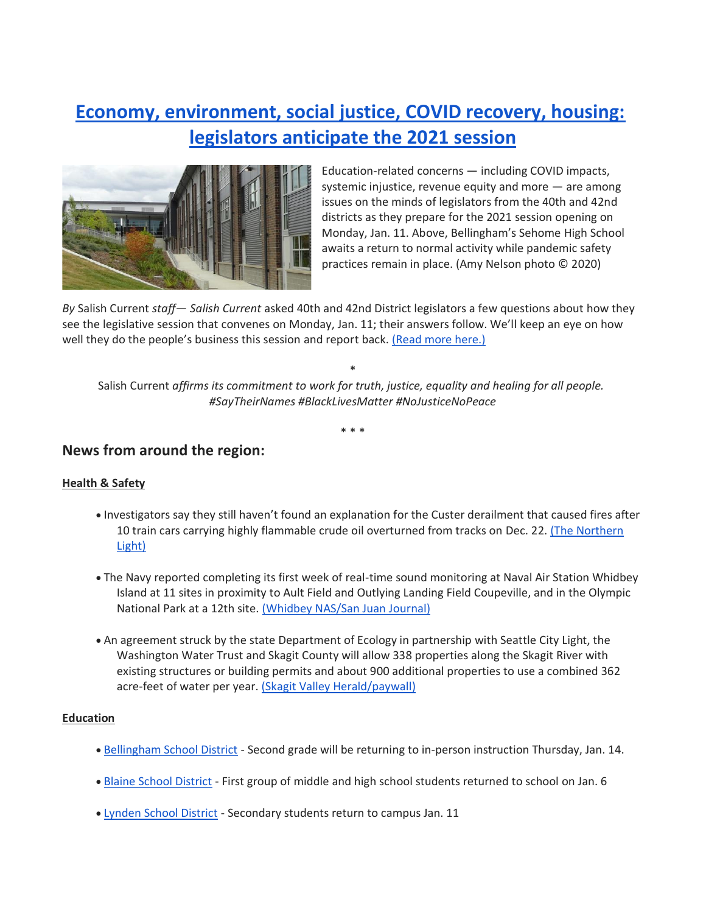# **[Economy, environment, social justice, COVID recovery, housing:](https://salish-current.org/2021/01/08/economy-environment-social-justice-covid-recovery-housing-legislators-anticipate-the-2021-session/) [legislators anticipate the 2021 session](https://salish-current.org/2021/01/08/economy-environment-social-justice-covid-recovery-housing-legislators-anticipate-the-2021-session/)**



Education-related concerns — including COVID impacts, systemic injustice, revenue equity and more — are among issues on the minds of legislators from the 40th and 42nd districts as they prepare for the 2021 session opening on Monday, Jan. 11. Above, Bellingham's Sehome High School awaits a return to normal activity while pandemic safety practices remain in place. (Amy Nelson photo © 2020)

*By* Salish Current *staff*— *Salish Current* asked 40th and 42nd District legislators a few questions about how they see the legislative session that convenes on Monday, Jan. 11; their answers follow. We'll keep an eye on how well they do the people's business this session and report back. [\(Read more here.\)](https://salish-current.org/2021/01/08/economy-environment-social-justice-covid-recovery-housing-legislators-anticipate-the-2021-session/)

\*

Salish Current *affirms its commitment to work for truth, justice, equality and healing for all people. #SayTheirNames #BlackLivesMatter #NoJusticeNoPeace*

\* \* \*

### **News from around the region:**

#### **Health & Safety**

- Investigators say they still haven't found an explanation for the Custer derailment that caused fires after 10 train cars carrying highly flammable crude oil overturned from tracks on Dec. 22. [\(The Northern](https://www.thenorthernlight.com/stories/investigation-continues-on-derailment,15674?)  [Light\)](https://www.thenorthernlight.com/stories/investigation-continues-on-derailment,15674?)
- The Navy reported completing its first week of real-time sound monitoring at Naval Air Station Whidbey Island at 11 sites in proximity to Ault Field and Outlying Landing Field Coupeville, and in the Olympic National Park at a 12th site. [\(Whidbey NAS/San Juan Journal\)](https://www.sanjuanjournal.com/news/navy-begins-noise-monitoring-initiative-at-nas-whidbey-island/)
- An agreement struck by the state Department of Ecology in partnership with Seattle City Light, the Washington Water Trust and Skagit County will allow 338 properties along the Skagit River with existing structures or building permits and about 900 additional properties to use a combined 362 acre-feet of water per year. [\(Skagit Valley Herald/paywall\)](https://www.goskagit.com/news/local_news/skagit-county-commissioners-approve-water-plan/article_a207bae4-8898-5436-81c1-088f30305599.html)

#### **Education**

- [Bellingham School District](https://bellinghamschools.org/news/in-person-instruction-plans-for-second-grade-and-promise-k-signs-of-hope-for-2021/) Second grade will be returning to in-person instruction Thursday, Jan. 14.
- [Blaine School District](https://www.thenorthernlight.com/stories/first-group-of-older-students-have-returned-to-school,15671?) First group of middle and high school students returned to school on Jan. 6
- [Lynden School District](https://lynden.wednet.edu/news/what_s_new/) Secondary students return to campus Jan. 11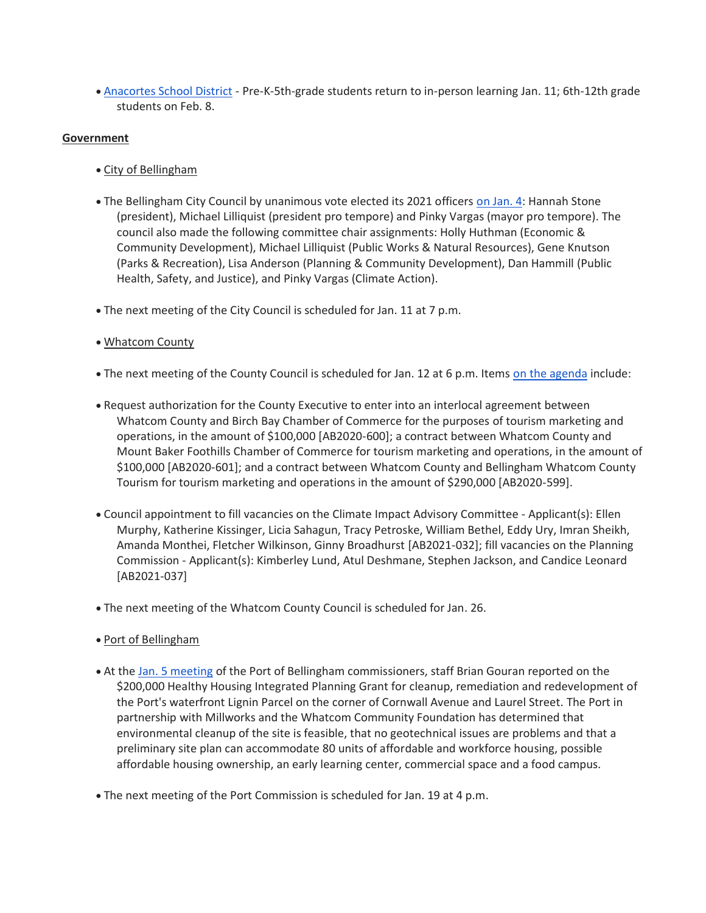• [Anacortes School District](http://www.asd103.org/news/what_s_new/a_s_d_response_to_new_c_o_v_i_d_guidelines) - Pre-K-5th-grade students return to in-person learning Jan. 11; 6th-12th grade students on Feb. 8.

#### **Government**

- City of Bellingham
- The Bellingham City Council by unanimous vote elected its 2021 officers [on Jan. 4:](https://meetings.cob.org/Meetings/ViewMeeting?id=2385&doctype=3) Hannah Stone (president), Michael Lilliquist (president pro tempore) and Pinky Vargas (mayor pro tempore). The council also made the following committee chair assignments: Holly Huthman (Economic & Community Development), Michael Lilliquist (Public Works & Natural Resources), Gene Knutson (Parks & Recreation), Lisa Anderson (Planning & Community Development), Dan Hammill (Public Health, Safety, and Justice), and Pinky Vargas (Climate Action).
- The next meeting of the City Council is scheduled for Jan. 11 at 7 p.m.
- Whatcom County
- The next meeting of the County Council is scheduled for Jan. 12 at 6 p.m. Items [on the agenda](https://whatcom.legistar.com/MeetingDetail.aspx?ID=813349&GUID=C51F7F34-EEED-404E-B546-4BC5B191AA90&Search=) include:
- Request authorization for the County Executive to enter into an interlocal agreement between Whatcom County and Birch Bay Chamber of Commerce for the purposes of tourism marketing and operations, in the amount of \$100,000 [AB2020-600]; a contract between Whatcom County and Mount Baker Foothills Chamber of Commerce for tourism marketing and operations, in the amount of \$100,000 [AB2020-601]; and a contract between Whatcom County and Bellingham Whatcom County Tourism for tourism marketing and operations in the amount of \$290,000 [AB2020-599].
- Council appointment to fill vacancies on the Climate Impact Advisory Committee Applicant(s): Ellen Murphy, Katherine Kissinger, Licia Sahagun, Tracy Petroske, William Bethel, Eddy Ury, Imran Sheikh, Amanda Monthei, Fletcher Wilkinson, Ginny Broadhurst [AB2021-032]; fill vacancies on the Planning Commission - Applicant(s): Kimberley Lund, Atul Deshmane, Stephen Jackson, and Candice Leonard [AB2021-037]
- The next meeting of the Whatcom County Council is scheduled for Jan. 26.
- Port of Bellingham
- At the [Jan. 5 meeting](https://www.youtube.com/watch?v=5krOXY23-A4&t=3839s) of the Port of Bellingham commissioners, staff Brian Gouran reported on the \$200,000 Healthy Housing Integrated Planning Grant for cleanup, remediation and redevelopment of the Port's waterfront Lignin Parcel on the corner of Cornwall Avenue and Laurel Street. The Port in partnership with Millworks and the Whatcom Community Foundation has determined that environmental cleanup of the site is feasible, that no geotechnical issues are problems and that a preliminary site plan can accommodate 80 units of affordable and workforce housing, possible affordable housing ownership, an early learning center, commercial space and a food campus.
- The next meeting of the Port Commission is scheduled for Jan. 19 at 4 p.m.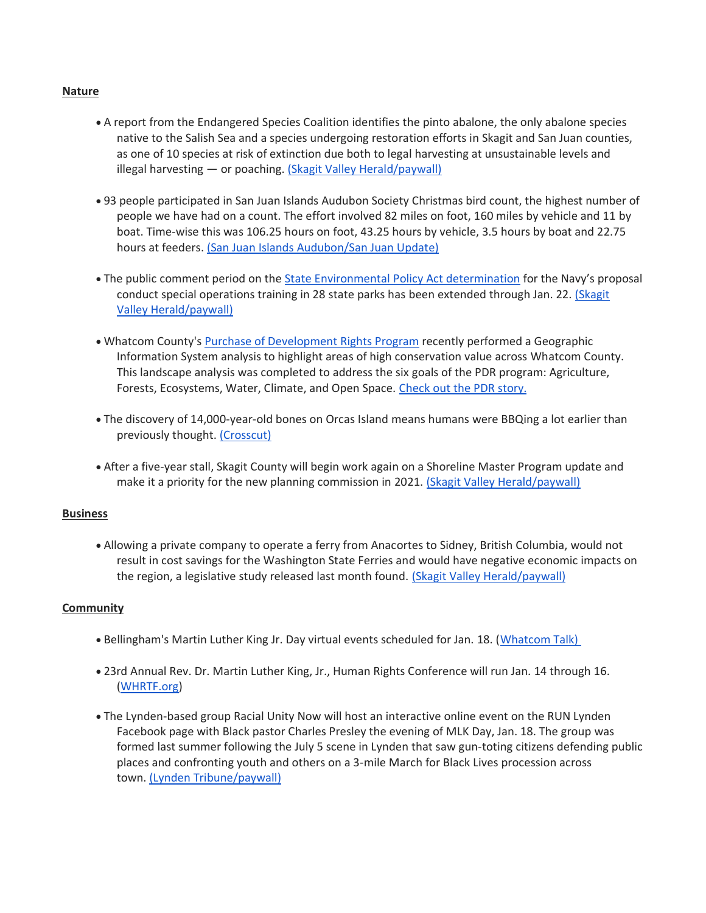#### **Nature**

- A report from the Endangered Species Coalition identifies the pinto abalone, the only abalone species native to the Salish Sea and a species undergoing restoration efforts in Skagit and San Juan counties, as one of 10 species at risk of extinction due both to legal harvesting at unsustainable levels and illegal harvesting — or poaching. [\(Skagit Valley Herald/paywall\)](https://www.goskagit.com/news/local_news/report-pinto-abalone-in-peril/article_745d5af6-5eef-5f27-be64-f48a9a5e652f.html)
- 93 people participated in San Juan Islands Audubon Society Christmas bird count, the highest number of people we have had on a count. The effort involved 82 miles on foot, 160 miles by vehicle and 11 by boat. Time-wise this was 106.25 hours on foot, 43.25 hours by vehicle, 3.5 hours by boat and 22.75 hours at feeders. [\(San Juan Islands Audubon/San Juan Update\)](https://sanjuanupdate.com/2020/12/record-participants-join-christmas-bird-count/)
- The public comment period on the [State Environmental Policy Act determination](https://parks.state.wa.us/1168/Navy-training-proposal) for the Navy's proposal conduct special operations training in 28 state parks has been extended through Jan. 22. [\(Skagit](https://www.goskagit.com/news/local_news/comment-period-extended-for-navys-training-plan/article_0b9d12ad-7335-5b68-98f2-d82c1f53d18e.html)  [Valley Herald/paywall\)](https://www.goskagit.com/news/local_news/comment-period-extended-for-navys-training-plan/article_0b9d12ad-7335-5b68-98f2-d82c1f53d18e.html)
- Whatcom County's [Purchase of Development Rights Program](https://www.whatcomcounty.us/573/Purchase-of-Development-Rights-Oversight) recently performed a Geographic Information System analysis to highlight areas of high conservation value across Whatcom County. This landscape analysis was completed to address the six goals of the PDR program: Agriculture, Forests, Ecosystems, Water, Climate, and Open Space. [Check out the PDR story.](https://storymaps.arcgis.com/stories/2a898f0e6d9b46c788b7463b3cb7f45a)
- The discovery of 14,000-year-old bones on Orcas Island means humans were BBQing a lot earlier than previously thought. [\(Crosscut\)](https://crosscut.com/culture/2021/01/mossbacks-northwest-ancient-bison-hunters-san-juans)
- After a five-year stall, Skagit County will begin work again on a Shoreline Master Program update and make it a priority for the new planning commission in 2021. [\(Skagit Valley Herald/paywall\)](https://www.goskagit.com/news/local_news/shoreline-master-program-update-resumed-by-skagit-county/article_9080ef30-9325-5c85-a5f9-bb7bff1d792b.html)

#### **Business**

• Allowing a private company to operate a ferry from Anacortes to Sidney, British Columbia, would not result in cost savings for the Washington State Ferries and would have negative economic impacts on the region, a legislative study released last month found. [\(Skagit Valley Herald/paywall\)](https://www.goskagit.com/news/local_news/study-examines-privatizing-anacortes-to-sidney-ferry-route/article_914e9b14-56b2-5b63-aab3-8b33052032ab.html)

#### **Community**

- Bellingham's Martin Luther King Jr. Day virtual events scheduled for Jan. 18. [\(Whatcom Talk\)](https://www.whatcomtalk.com/2021/01/05/celebrate-kings-life-and-legacy-on-martin-luther-king-jr-day-jan-18-2021/)
- 23rd Annual Rev. Dr. Martin Luther King, Jr., Human Rights Conference will run Jan. 14 through 16. [\(WHRTF.org\)](https://whrtf.org/)
- The Lynden-based group Racial Unity Now will host an interactive online event on the RUN Lynden Facebook page with Black pastor Charles Presley the evening of MLK Day, Jan. 18. The group was formed last summer following the July 5 scene in Lynden that saw gun-toting citizens defending public places and confronting youth and others on a 3-mile March for Black Lives procession across town. [\(Lynden Tribune/paywall\)](https://www.lyndentribune.com/news/new-group-plans-a-jan-18-online-event/article_b2bb8f6c-4fae-11eb-973c-a3dec51fec80.html)